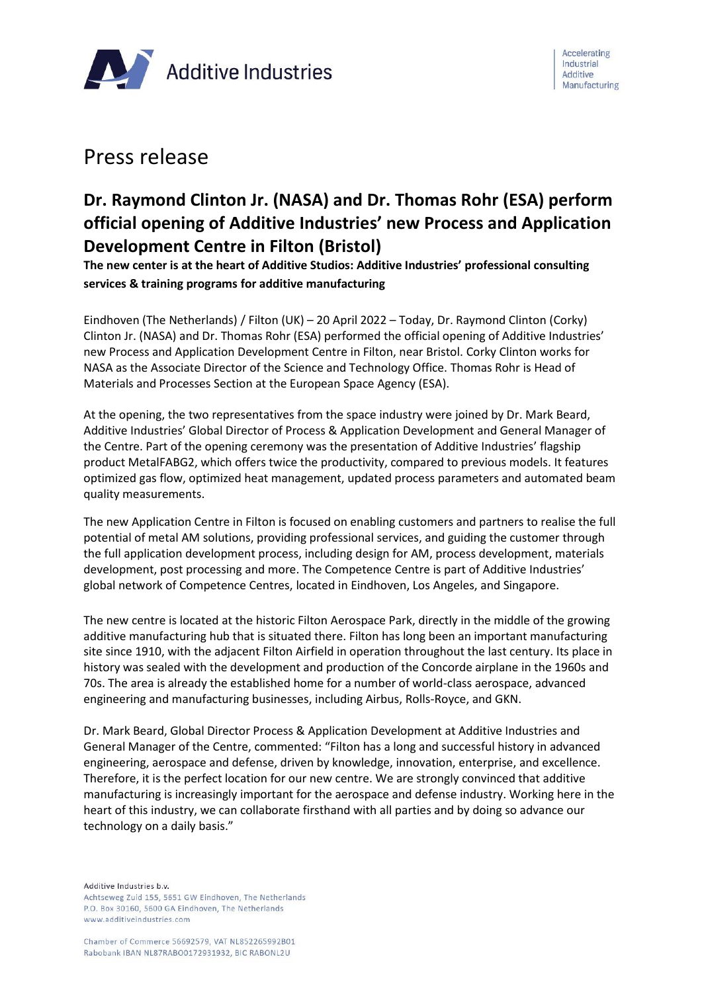

## Press release

# **Dr. Raymond Clinton Jr. (NASA) and Dr. Thomas Rohr (ESA) perform official opening of Additive Industries' new Process and Application Development Centre in Filton (Bristol)**

**The new center is at the heart of Additive Studios: Additive Industries' professional consulting services & training programs for additive manufacturing**

Eindhoven (The Netherlands) / Filton (UK) – 20 April 2022 – Today, Dr. Raymond Clinton (Corky) Clinton Jr. (NASA) and Dr. Thomas Rohr (ESA) performed the official opening of Additive Industries' new Process and Application Development Centre in Filton, near Bristol. Corky Clinton works for NASA as the Associate Director of the Science and Technology Office. Thomas Rohr is Head of Materials and Processes Section at the European Space Agency (ESA).

At the opening, the two representatives from the space industry were joined by Dr. Mark Beard, Additive Industries' Global Director of Process & Application Development and General Manager of the Centre. Part of the opening ceremony was the presentation of Additive Industries' flagship product MetalFABG2, which offers twice the productivity, compared to previous models. It features optimized gas flow, optimized heat management, updated process parameters and automated beam quality measurements.

The new Application Centre in Filton is focused on enabling customers and partners to realise the full potential of metal AM solutions, providing professional services, and guiding the customer through the full application development process, including design for AM, process development, materials development, post processing and more. The Competence Centre is part of Additive Industries' global network of Competence Centres, located in Eindhoven, Los Angeles, and Singapore.

The new centre is located at the historic Filton Aerospace Park, directly in the middle of the growing additive manufacturing hub that is situated there. Filton has long been an important manufacturing site since 1910, with the adjacent Filton Airfield in operation throughout the last century. Its place in history was sealed with the development and production of the Concorde airplane in the 1960s and 70s. The area is already the established home for a number of world-class aerospace, advanced engineering and manufacturing businesses, including Airbus, Rolls-Royce, and GKN.

Dr. Mark Beard, Global Director Process & Application Development at Additive Industries and General Manager of the Centre, commented: "Filton has a long and successful history in advanced engineering, aerospace and defense, driven by knowledge, innovation, enterprise, and excellence. Therefore, it is the perfect location for our new centre. We are strongly convinced that additive manufacturing is increasingly important for the aerospace and defense industry. Working here in the heart of this industry, we can collaborate firsthand with all parties and by doing so advance our technology on a daily basis."

Additive Industries b.v.

Achtseweg Zuid 155, 5651 GW Eindhoven, The Netherlands P.O. Box 30160, 5600 GA Eindhoven, The Netherlands www.additiveindustries.com